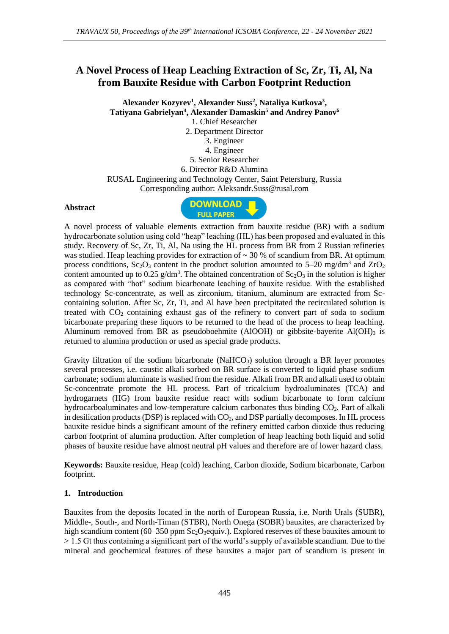# **A Novel Process of Heap Leaching Extraction of Sc, Zr, Ti, Al, Na from Bauxite Residue with Carbon Footprint Reduction**

**Alexander Kozyrev<sup>1</sup> , Alexander Suss<sup>2</sup> , Nataliya Kutkova<sup>3</sup> , Tatiyana Gabrielyan<sup>4</sup> , Alexander Damaskin<sup>5</sup> and Andrey Panov<sup>6</sup>** 1. Chief Researcher 2. Department Director 3. Engineer 4. Engineer 5. Senior Researcher 6. Director R&D Alumina RUSAL Engineering and Technology Center, Saint Petersburg, Russia Corresponding author: Aleksandr.Suss@rusal.com

#### **Abstract**



A novel process of valuable elements extraction from bauxite residue (BR) with a sodium hydrocarbonate solution using cold "heap" leaching (HL) has been proposed and evaluated in this study. Recovery of Sc, Zr, Ti, Al, Na using the HL process from BR from 2 Russian refineries was studied. Heap leaching provides for extraction of  $\sim$  30 % of scandium from BR. At optimum process conditions,  $Sc_2O_3$  content in the product solution amounted to 5–20 mg/dm<sup>3</sup> and  $ZrO_2$ content amounted up to 0.25  $g/dm^3$ . The obtained concentration of  $Sc_2O_3$  in the solution is higher as compared with "hot" sodium bicarbonate leaching of bauxite residue. With the established technology Sc-concentrate, as well as zirconium, titanium, aluminum are extracted from Sccontaining solution. After Sc, Zr, Ti, and Al have been precipitated the recirculated solution is treated with  $CO<sub>2</sub>$  containing exhaust gas of the refinery to convert part of soda to sodium bicarbonate preparing these liquors to be returned to the head of the process to heap leaching. Aluminum removed from BR as pseudoboehmite (AlOOH) or gibbsite-bayerite  $Al(OH)_{3}$  is returned to alumina production or used as special grade products.

Gravity filtration of the sodium bicarbonate (NaHCO<sub>3</sub>) solution through a BR layer promotes several processes, i.e. caustic alkali sorbed on BR surface is converted to liquid phase sodium carbonate; sodium aluminate is washed from the residue. Alkali from BR and alkali used to obtain Sc-concentrate promote the HL process. Part of tricalcium hydroaluminates (TCA) and hydrogarnets (HG) from bauxite residue react with sodium bicarbonate to form calcium hydrocarboaluminates and low-temperature calcium carbonates thus binding CO2. Part of alkali in desilication products (DSP) is replaced with  $CO<sub>2</sub>$ , and DSP partially decomposes. In HL process bauxite residue binds a significant amount of the refinery emitted carbon dioxide thus reducing carbon footprint of alumina production. After completion of heap leaching both liquid and solid phases of bauxite residue have almost neutral pH values and therefore are of lower hazard class.

**Keywords:** Bauxite residue, Heap (cold) leaching, Carbon dioxide, Sodium bicarbonate, Carbon footprint.

#### **1. Introduction**

Bauxites from the deposits located in the north of European Russia, i.e. North Urals (SUBR), Middle-, South-, and North-Timan (STBR), North Onega (SOBR) bauxites, are characterized by high scandium content (60–350 ppm  $Sc<sub>2</sub>O<sub>3</sub>$ equiv.). Explored reserves of these bauxites amount to  $> 1.5$  Gt thus containing a significant part of the world's supply of available scandium. Due to the mineral and geochemical features of these bauxites a major part of scandium is present in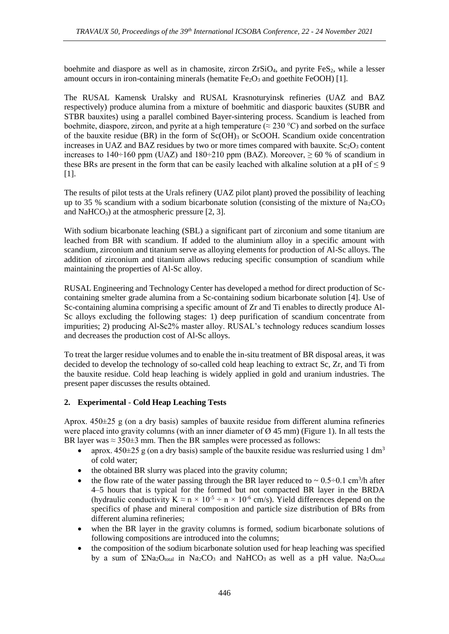boehmite and diaspore as well as in chamosite, zircon  $ZrSiO<sub>4</sub>$ , and pyrite FeS<sub>2</sub>, while a lesser amount occurs in iron-containing minerals (hematite  $Fe<sub>2</sub>O<sub>3</sub>$  and goethite FeOOH) [1].

The RUSAL Kamensk Uralsky and RUSAL Krasnoturyinsk refineries (UAZ and BAZ respectively) produce alumina from a mixture of boehmitic and diasporic bauxites (SUBR and STBR bauxites) using a parallel combined Bayer-sintering process. Scandium is leached from boehmite, diaspore, zircon, and pyrite at a high temperature ( $\approx$  230 °C) and sorbed on the surface of the bauxite residue (BR) in the form of  $Sc(OH)$ <sub>3</sub> or ScOOH. Scandium oxide concentration increases in UAZ and BAZ residues by two or more times compared with bauxite.  $Sc<sub>2</sub>O<sub>3</sub>$  content increases to 140÷160 ppm (UAZ) and 180÷210 ppm (BAZ). Moreover,  $\geq 60$  % of scandium in these BRs are present in the form that can be easily leached with alkaline solution at a pH of  $\leq 9$ [1].

The results of pilot tests at the Urals refinery (UAZ pilot plant) proved the possibility of leaching up to 35 % scandium with a sodium bicarbonate solution (consisting of the mixture of Na<sub>2</sub>CO<sub>3</sub> and NaHCO<sub>3</sub>) at the atmospheric pressure  $[2, 3]$ .

With sodium bicarbonate leaching (SBL) a significant part of zirconium and some titanium are leached from BR with scandium. If added to the aluminium alloy in a specific amount with scandium, zirconium and titanium serve as alloying elements for production of Al-Sc alloys. The addition of zirconium and titanium allows reducing specific consumption of scandium while maintaining the properties of Al-Sc alloy.

RUSAL Engineering and Technology Center has developed a method for direct production of Sccontaining smelter grade alumina from a Sc-containing sodium bicarbonate solution [4]. Use of Sc-containing alumina comprising a specific amount of Zr and Ti enables to directly produce Al-Sc alloys excluding the following stages: 1) deep purification of scandium concentrate from impurities; 2) producing Al-Sc2% master alloy. RUSAL's technology reduces scandium losses and decreases the production cost of Al-Sc alloys.

To treat the larger residue volumes and to enable the in-situ treatment of BR disposal areas, it was decided to develop the technology of so-called cold heap leaching to extract Sc, Zr, and Ti from the bauxite residue. Cold heap leaching is widely applied in gold and uranium industries. The present paper discusses the results obtained.

## **2. Experimental** - **Cold Heap Leaching Tests**

Aprox.  $450\pm25$  g (on a dry basis) samples of bauxite residue from different alumina refineries were placed into gravity columns (with an inner diameter of  $\varnothing$  45 mm) (Figure 1). In all tests the BR layer was  $\approx 350\pm 3$  mm. Then the BR samples were processed as follows:

- aprox.  $450\pm25$  g (on a dry basis) sample of the bauxite residue was reslurried using 1 dm<sup>3</sup> of cold water;
- the obtained BR slurry was placed into the gravity column;
- the flow rate of the water passing through the BR layer reduced to  $\sim 0.5 \div 0.1$  cm<sup>3</sup>/h after 4–5 hours that is typical for the formed but not compacted BR layer in the BRDA (hydraulic conductivity  $K \approx n \times 10^{-5} \div n \times 10^{-6}$  cm/s). Yield differences depend on the specifics of phase and mineral composition and particle size distribution of BRs from different alumina refineries;
- when the BR layer in the gravity columns is formed, sodium bicarbonate solutions of following compositions are introduced into the columns;
- the composition of the sodium bicarbonate solution used for heap leaching was specified by a sum of  $\Sigma$ Na<sub>2</sub>O<sub>total</sub> in Na<sub>2</sub>CO<sub>3</sub> and NaHCO<sub>3</sub> as well as a pH value. Na<sub>2</sub>O<sub>total</sub>